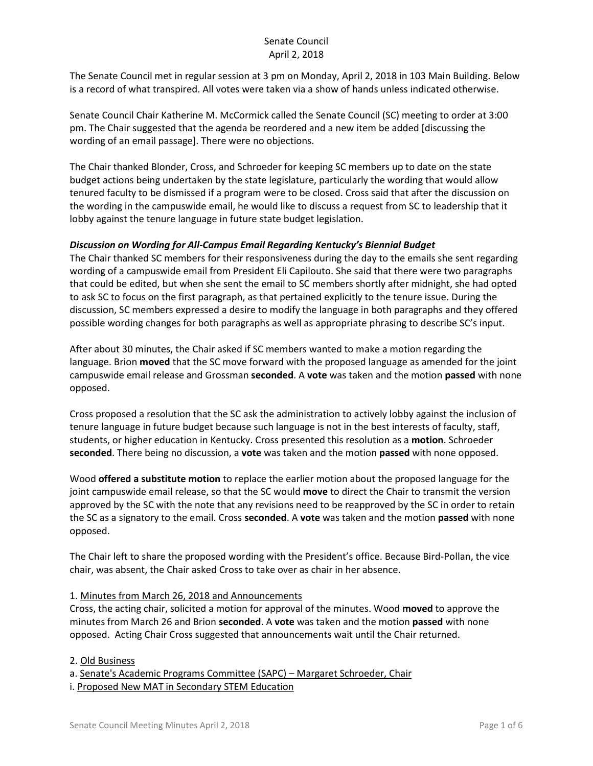The Senate Council met in regular session at 3 pm on Monday, April 2, 2018 in 103 Main Building. Below is a record of what transpired. All votes were taken via a show of hands unless indicated otherwise.

Senate Council Chair Katherine M. McCormick called the Senate Council (SC) meeting to order at 3:00 pm. The Chair suggested that the agenda be reordered and a new item be added [discussing the wording of an email passage]. There were no objections.

The Chair thanked Blonder, Cross, and Schroeder for keeping SC members up to date on the state budget actions being undertaken by the state legislature, particularly the wording that would allow tenured faculty to be dismissed if a program were to be closed. Cross said that after the discussion on the wording in the campuswide email, he would like to discuss a request from SC to leadership that it lobby against the tenure language in future state budget legislation.

## *Discussion on Wording for All-Campus Email Regarding Kentucky's Biennial Budget*

The Chair thanked SC members for their responsiveness during the day to the emails she sent regarding wording of a campuswide email from President Eli Capilouto. She said that there were two paragraphs that could be edited, but when she sent the email to SC members shortly after midnight, she had opted to ask SC to focus on the first paragraph, as that pertained explicitly to the tenure issue. During the discussion, SC members expressed a desire to modify the language in both paragraphs and they offered possible wording changes for both paragraphs as well as appropriate phrasing to describe SC's input.

After about 30 minutes, the Chair asked if SC members wanted to make a motion regarding the language. Brion **moved** that the SC move forward with the proposed language as amended for the joint campuswide email release and Grossman **seconded**. A **vote** was taken and the motion **passed** with none opposed.

Cross proposed a resolution that the SC ask the administration to actively lobby against the inclusion of tenure language in future budget because such language is not in the best interests of faculty, staff, students, or higher education in Kentucky. Cross presented this resolution as a **motion**. Schroeder **seconded**. There being no discussion, a **vote** was taken and the motion **passed** with none opposed.

Wood **offered a substitute motion** to replace the earlier motion about the proposed language for the joint campuswide email release, so that the SC would **move** to direct the Chair to transmit the version approved by the SC with the note that any revisions need to be reapproved by the SC in order to retain the SC as a signatory to the email. Cross **seconded**. A **vote** was taken and the motion **passed** with none opposed.

The Chair left to share the proposed wording with the President's office. Because Bird-Pollan, the vice chair, was absent, the Chair asked Cross to take over as chair in her absence.

### 1. Minutes from March 26, 2018 and Announcements

Cross, the acting chair, solicited a motion for approval of the minutes. Wood **moved** to approve the minutes from March 26 and Brion **seconded**. A **vote** was taken and the motion **passed** with none opposed. Acting Chair Cross suggested that announcements wait until the Chair returned.

### 2. Old Business

a. Senate's Academic Programs Committee (SAPC) – Margaret Schroeder, Chair i. Proposed New MAT in Secondary STEM Education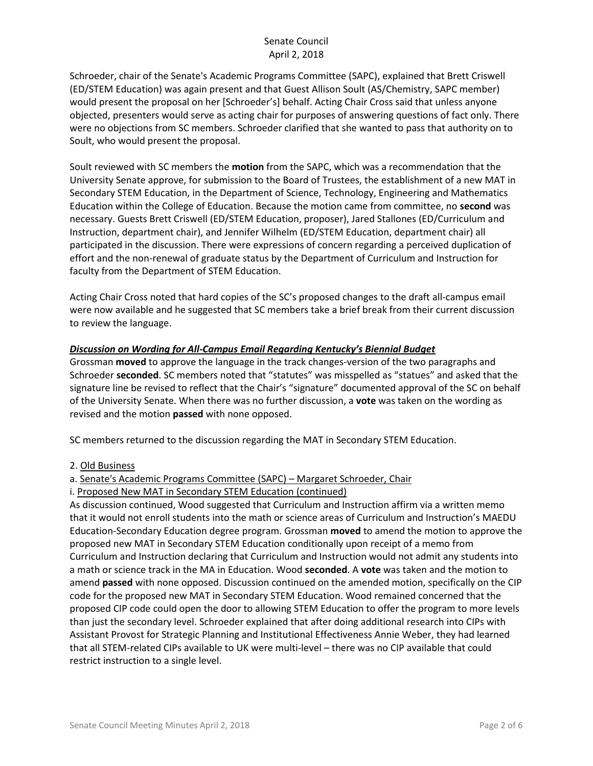Schroeder, chair of the Senate's Academic Programs Committee (SAPC), explained that Brett Criswell (ED/STEM Education) was again present and that Guest Allison Soult (AS/Chemistry, SAPC member) would present the proposal on her [Schroeder's] behalf. Acting Chair Cross said that unless anyone objected, presenters would serve as acting chair for purposes of answering questions of fact only. There were no objections from SC members. Schroeder clarified that she wanted to pass that authority on to Soult, who would present the proposal.

Soult reviewed with SC members the **motion** from the SAPC, which was a recommendation that the University Senate approve, for submission to the Board of Trustees, the establishment of a new MAT in Secondary STEM Education, in the Department of Science, Technology, Engineering and Mathematics Education within the College of Education. Because the motion came from committee, no **second** was necessary. Guests Brett Criswell (ED/STEM Education, proposer), Jared Stallones (ED/Curriculum and Instruction, department chair), and Jennifer Wilhelm (ED/STEM Education, department chair) all participated in the discussion. There were expressions of concern regarding a perceived duplication of effort and the non-renewal of graduate status by the Department of Curriculum and Instruction for faculty from the Department of STEM Education.

Acting Chair Cross noted that hard copies of the SC's proposed changes to the draft all-campus email were now available and he suggested that SC members take a brief break from their current discussion to review the language.

## *Discussion on Wording for All-Campus Email Regarding Kentucky's Biennial Budget*

Grossman **moved** to approve the language in the track changes-version of the two paragraphs and Schroeder **seconded**. SC members noted that "statutes" was misspelled as "statues" and asked that the signature line be revised to reflect that the Chair's "signature" documented approval of the SC on behalf of the University Senate. When there was no further discussion, a **vote** was taken on the wording as revised and the motion **passed** with none opposed.

SC members returned to the discussion regarding the MAT in Secondary STEM Education.

### 2. Old Business

### a. Senate's Academic Programs Committee (SAPC) – Margaret Schroeder, Chair

### i. Proposed New MAT in Secondary STEM Education (continued)

As discussion continued, Wood suggested that Curriculum and Instruction affirm via a written memo that it would not enroll students into the math or science areas of Curriculum and Instruction's MAEDU Education-Secondary Education degree program. Grossman **moved** to amend the motion to approve the proposed new MAT in Secondary STEM Education conditionally upon receipt of a memo from Curriculum and Instruction declaring that Curriculum and Instruction would not admit any students into a math or science track in the MA in Education. Wood **seconded**. A **vote** was taken and the motion to amend **passed** with none opposed. Discussion continued on the amended motion, specifically on the CIP code for the proposed new MAT in Secondary STEM Education. Wood remained concerned that the proposed CIP code could open the door to allowing STEM Education to offer the program to more levels than just the secondary level. Schroeder explained that after doing additional research into CIPs with Assistant Provost for Strategic Planning and Institutional Effectiveness Annie Weber, they had learned that all STEM-related CIPs available to UK were multi-level – there was no CIP available that could restrict instruction to a single level.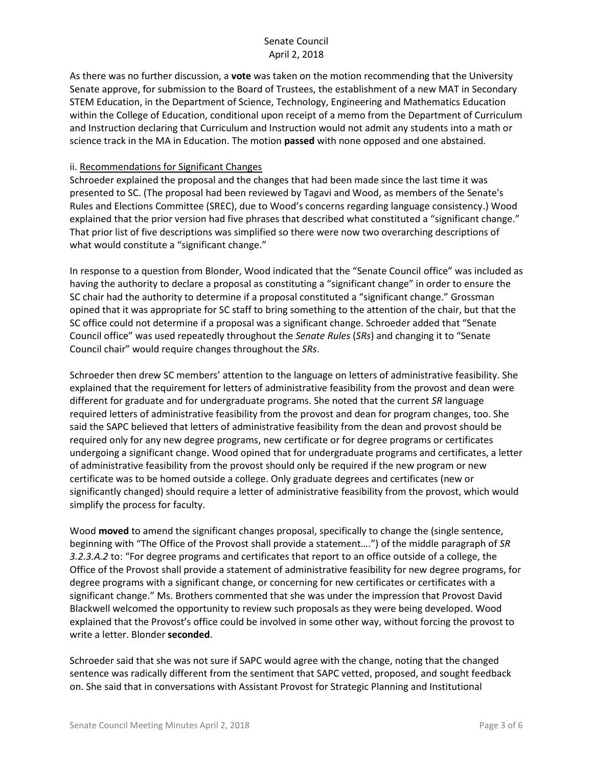As there was no further discussion, a **vote** was taken on the motion recommending that the University Senate approve, for submission to the Board of Trustees, the establishment of a new MAT in Secondary STEM Education, in the Department of Science, Technology, Engineering and Mathematics Education within the College of Education, conditional upon receipt of a memo from the Department of Curriculum and Instruction declaring that Curriculum and Instruction would not admit any students into a math or science track in the MA in Education. The motion **passed** with none opposed and one abstained.

### ii. Recommendations for Significant Changes

Schroeder explained the proposal and the changes that had been made since the last time it was presented to SC. (The proposal had been reviewed by Tagavi and Wood, as members of the Senate's Rules and Elections Committee (SREC), due to Wood's concerns regarding language consistency.) Wood explained that the prior version had five phrases that described what constituted a "significant change." That prior list of five descriptions was simplified so there were now two overarching descriptions of what would constitute a "significant change."

In response to a question from Blonder, Wood indicated that the "Senate Council office" was included as having the authority to declare a proposal as constituting a "significant change" in order to ensure the SC chair had the authority to determine if a proposal constituted a "significant change." Grossman opined that it was appropriate for SC staff to bring something to the attention of the chair, but that the SC office could not determine if a proposal was a significant change. Schroeder added that "Senate Council office" was used repeatedly throughout the *Senate Rules* (*SRs*) and changing it to "Senate Council chair" would require changes throughout the *SRs*.

Schroeder then drew SC members' attention to the language on letters of administrative feasibility. She explained that the requirement for letters of administrative feasibility from the provost and dean were different for graduate and for undergraduate programs. She noted that the current *SR* language required letters of administrative feasibility from the provost and dean for program changes, too. She said the SAPC believed that letters of administrative feasibility from the dean and provost should be required only for any new degree programs, new certificate or for degree programs or certificates undergoing a significant change. Wood opined that for undergraduate programs and certificates, a letter of administrative feasibility from the provost should only be required if the new program or new certificate was to be homed outside a college. Only graduate degrees and certificates (new or significantly changed) should require a letter of administrative feasibility from the provost, which would simplify the process for faculty.

Wood **moved** to amend the significant changes proposal, specifically to change the (single sentence, beginning with "The Office of the Provost shall provide a statement….") of the middle paragraph of *SR 3.2.3.A.2* to: "For degree programs and certificates that report to an office outside of a college, the Office of the Provost shall provide a statement of administrative feasibility for new degree programs, for degree programs with a significant change, or concerning for new certificates or certificates with a significant change." Ms. Brothers commented that she was under the impression that Provost David Blackwell welcomed the opportunity to review such proposals as they were being developed. Wood explained that the Provost's office could be involved in some other way, without forcing the provost to write a letter. Blonder **seconded**.

Schroeder said that she was not sure if SAPC would agree with the change, noting that the changed sentence was radically different from the sentiment that SAPC vetted, proposed, and sought feedback on. She said that in conversations with Assistant Provost for Strategic Planning and Institutional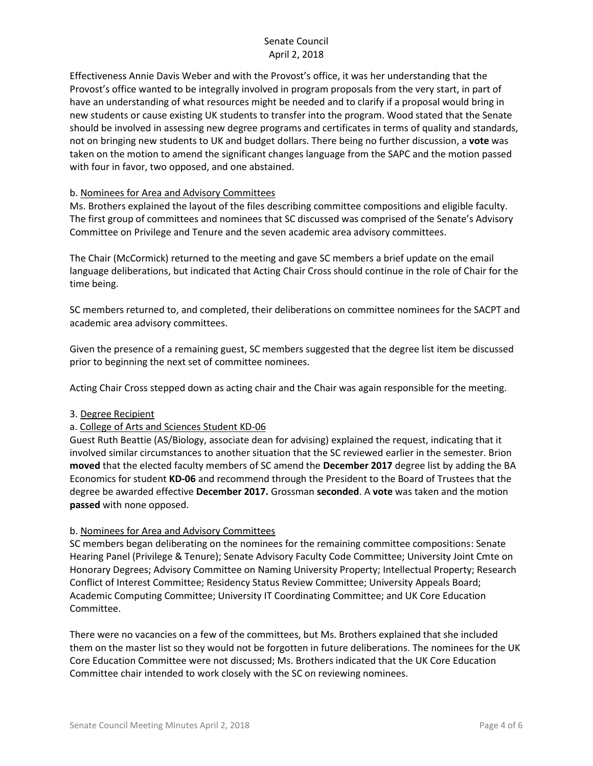Effectiveness Annie Davis Weber and with the Provost's office, it was her understanding that the Provost's office wanted to be integrally involved in program proposals from the very start, in part of have an understanding of what resources might be needed and to clarify if a proposal would bring in new students or cause existing UK students to transfer into the program. Wood stated that the Senate should be involved in assessing new degree programs and certificates in terms of quality and standards, not on bringing new students to UK and budget dollars. There being no further discussion, a **vote** was taken on the motion to amend the significant changes language from the SAPC and the motion passed with four in favor, two opposed, and one abstained.

## b. Nominees for Area and Advisory Committees

Ms. Brothers explained the layout of the files describing committee compositions and eligible faculty. The first group of committees and nominees that SC discussed was comprised of the Senate's Advisory Committee on Privilege and Tenure and the seven academic area advisory committees.

The Chair (McCormick) returned to the meeting and gave SC members a brief update on the email language deliberations, but indicated that Acting Chair Cross should continue in the role of Chair for the time being.

SC members returned to, and completed, their deliberations on committee nominees for the SACPT and academic area advisory committees.

Given the presence of a remaining guest, SC members suggested that the degree list item be discussed prior to beginning the next set of committee nominees.

Acting Chair Cross stepped down as acting chair and the Chair was again responsible for the meeting.

### 3. Degree Recipient

### a. College of Arts and Sciences Student KD-06

Guest Ruth Beattie (AS/Biology, associate dean for advising) explained the request, indicating that it involved similar circumstances to another situation that the SC reviewed earlier in the semester. Brion **moved** that the elected faculty members of SC amend the **December 2017** degree list by adding the BA Economics for student **KD-06** and recommend through the President to the Board of Trustees that the degree be awarded effective **December 2017.** Grossman **seconded**. A **vote** was taken and the motion **passed** with none opposed.

### b. Nominees for Area and Advisory Committees

SC members began deliberating on the nominees for the remaining committee compositions: Senate Hearing Panel (Privilege & Tenure); Senate Advisory Faculty Code Committee; University Joint Cmte on Honorary Degrees; Advisory Committee on Naming University Property; Intellectual Property; Research Conflict of Interest Committee; Residency Status Review Committee; University Appeals Board; Academic Computing Committee; University IT Coordinating Committee; and UK Core Education Committee.

There were no vacancies on a few of the committees, but Ms. Brothers explained that she included them on the master list so they would not be forgotten in future deliberations. The nominees for the UK Core Education Committee were not discussed; Ms. Brothers indicated that the UK Core Education Committee chair intended to work closely with the SC on reviewing nominees.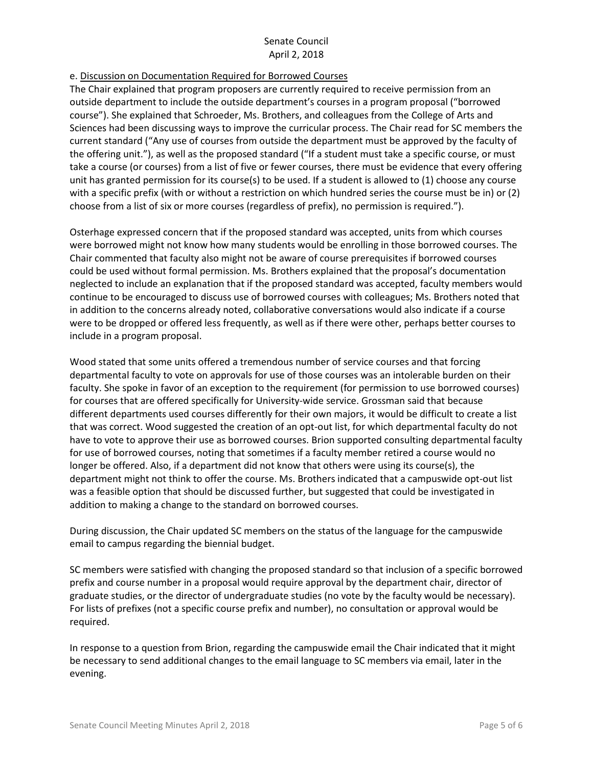e. Discussion on Documentation Required for Borrowed Courses

The Chair explained that program proposers are currently required to receive permission from an outside department to include the outside department's courses in a program proposal ("borrowed course"). She explained that Schroeder, Ms. Brothers, and colleagues from the College of Arts and Sciences had been discussing ways to improve the curricular process. The Chair read for SC members the current standard ("Any use of courses from outside the department must be approved by the faculty of the offering unit."), as well as the proposed standard ("If a student must take a specific course, or must take a course (or courses) from a list of five or fewer courses, there must be evidence that every offering unit has granted permission for its course(s) to be used. If a student is allowed to (1) choose any course with a specific prefix (with or without a restriction on which hundred series the course must be in) or (2) choose from a list of six or more courses (regardless of prefix), no permission is required.").

Osterhage expressed concern that if the proposed standard was accepted, units from which courses were borrowed might not know how many students would be enrolling in those borrowed courses. The Chair commented that faculty also might not be aware of course prerequisites if borrowed courses could be used without formal permission. Ms. Brothers explained that the proposal's documentation neglected to include an explanation that if the proposed standard was accepted, faculty members would continue to be encouraged to discuss use of borrowed courses with colleagues; Ms. Brothers noted that in addition to the concerns already noted, collaborative conversations would also indicate if a course were to be dropped or offered less frequently, as well as if there were other, perhaps better courses to include in a program proposal.

Wood stated that some units offered a tremendous number of service courses and that forcing departmental faculty to vote on approvals for use of those courses was an intolerable burden on their faculty. She spoke in favor of an exception to the requirement (for permission to use borrowed courses) for courses that are offered specifically for University-wide service. Grossman said that because different departments used courses differently for their own majors, it would be difficult to create a list that was correct. Wood suggested the creation of an opt-out list, for which departmental faculty do not have to vote to approve their use as borrowed courses. Brion supported consulting departmental faculty for use of borrowed courses, noting that sometimes if a faculty member retired a course would no longer be offered. Also, if a department did not know that others were using its course(s), the department might not think to offer the course. Ms. Brothers indicated that a campuswide opt-out list was a feasible option that should be discussed further, but suggested that could be investigated in addition to making a change to the standard on borrowed courses.

During discussion, the Chair updated SC members on the status of the language for the campuswide email to campus regarding the biennial budget.

SC members were satisfied with changing the proposed standard so that inclusion of a specific borrowed prefix and course number in a proposal would require approval by the department chair, director of graduate studies, or the director of undergraduate studies (no vote by the faculty would be necessary). For lists of prefixes (not a specific course prefix and number), no consultation or approval would be required.

In response to a question from Brion, regarding the campuswide email the Chair indicated that it might be necessary to send additional changes to the email language to SC members via email, later in the evening.